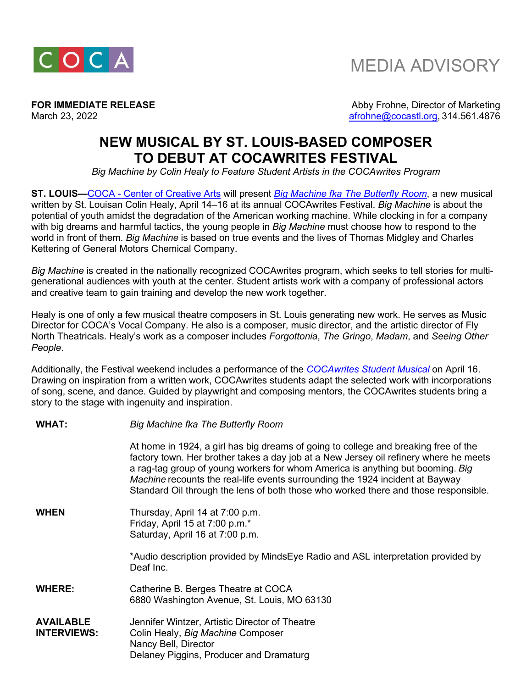

**FOR IMMEDIATE RELEASE Abby Frohne, Director of Marketing** March 23, 2022 **afrohne@cocastl.org, 314.561.4876** 

## **NEW MUSICAL BY ST. LOUIS-BASED COMPOSER TO DEBUT AT COCAWRITES FESTIVAL**

*Big Machine by Colin Healy to Feature Student Artists in the COCAwrites Program* 

**ST. LOUIS—**COCA - Center of Creative Arts will present *Big Machine fka The Butterfly Room*, a new musical written by St. Louisan Colin Healy, April 14–16 at its annual COCAwrites Festival. *Big Machine* is about the potential of youth amidst the degradation of the American working machine. While clocking in for a company with big dreams and harmful tactics, the young people in *Big Machine* must choose how to respond to the world in front of them. *Big Machine* is based on true events and the lives of Thomas Midgley and Charles Kettering of General Motors Chemical Company.

*Big Machine* is created in the nationally recognized COCAwrites program, which seeks to tell stories for multigenerational audiences with youth at the center. Student artists work with a company of professional actors and creative team to gain training and develop the new work together.

Healy is one of only a few musical theatre composers in St. Louis generating new work. He serves as Music Director for COCA's Vocal Company. He also is a composer, music director, and the artistic director of Fly North Theatricals. Healy's work as a composer includes *Forgottonia*, *The Gringo*, *Madam*, and *Seeing Other People*.

Additionally, the Festival weekend includes a performance of the *COCAwrites Student Musical* on April 16. Drawing on inspiration from a written work, COCAwrites students adapt the selected work with incorporations of song, scene, and dance. Guided by playwright and composing mentors, the COCAwrites students bring a story to the stage with ingenuity and inspiration.

| <b>WHAT:</b>                           | Big Machine fka The Butterfly Room                                                                                                                                                                                                                                                                                                                                                                                                     |
|----------------------------------------|----------------------------------------------------------------------------------------------------------------------------------------------------------------------------------------------------------------------------------------------------------------------------------------------------------------------------------------------------------------------------------------------------------------------------------------|
|                                        | At home in 1924, a girl has big dreams of going to college and breaking free of the<br>factory town. Her brother takes a day job at a New Jersey oil refinery where he meets<br>a rag-tag group of young workers for whom America is anything but booming. Big<br>Machine recounts the real-life events surrounding the 1924 incident at Bayway<br>Standard Oil through the lens of both those who worked there and those responsible. |
| <b>WHEN</b>                            | Thursday, April 14 at 7:00 p.m.<br>Friday, April 15 at 7:00 p.m.*<br>Saturday, April 16 at 7:00 p.m.                                                                                                                                                                                                                                                                                                                                   |
|                                        | *Audio description provided by MindsEye Radio and ASL interpretation provided by<br>Deaf Inc.                                                                                                                                                                                                                                                                                                                                          |
| <b>WHERE:</b>                          | Catherine B. Berges Theatre at COCA<br>6880 Washington Avenue, St. Louis, MO 63130                                                                                                                                                                                                                                                                                                                                                     |
| <b>AVAILABLE</b><br><b>INTERVIEWS:</b> | Jennifer Wintzer, Artistic Director of Theatre<br>Colin Healy, Big Machine Composer<br>Nancy Bell, Director<br>Delaney Piggins, Producer and Dramaturg                                                                                                                                                                                                                                                                                 |